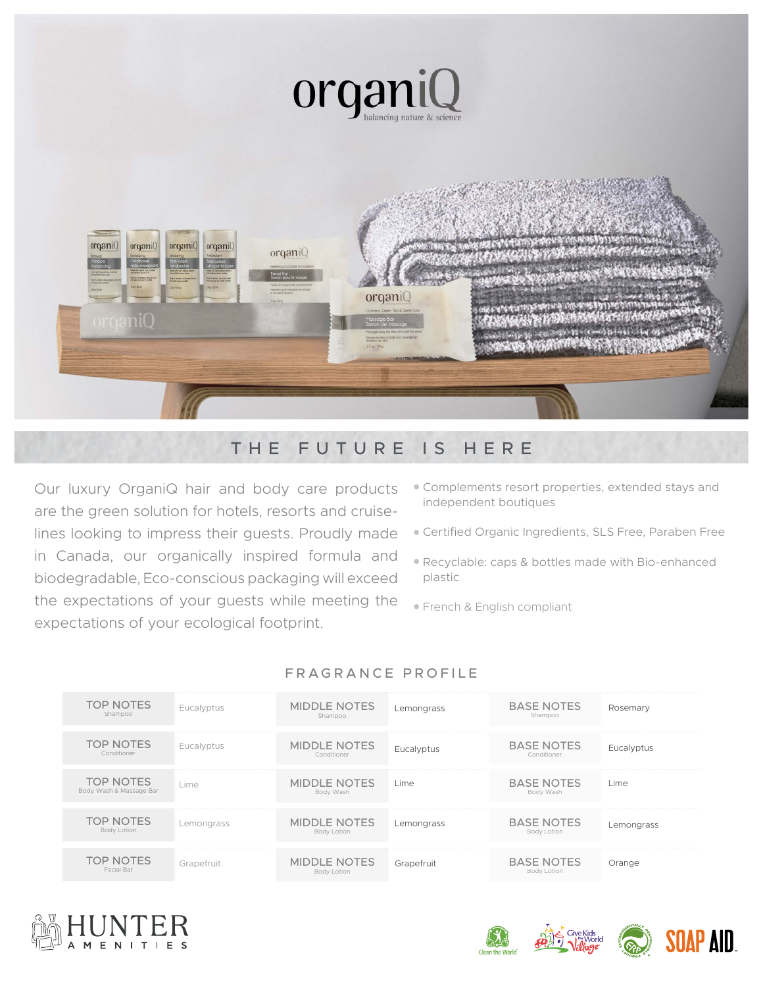

## THE FUTURE IS HERE

Our luxury OrganiQ hair and body care products are the green solution for hotels, resorts and cruiselines looking to impress their guests. Proudly made in Canada, our organically inspired formula and biodegradable, Eco-conscious packaging will exceed the expectations of your guests while meeting the expectations of your ecological footprint.

- Complements resort properties, extended stays and independent boutiques
- Certified Organic Ingredients, SLS Free, Paraben Free
- Recyclable: caps & bottles made with Bio-enhanced plastic
- **French & English compliant**

| <b>TOP NOTES</b><br>Shampoo                 | Eucalyptus | <b>MIDDLE NOTES</b><br>Shampoo     | Lemongrass | <b>BASE NOTES</b><br>Shampoo     | Rosemary   |
|---------------------------------------------|------------|------------------------------------|------------|----------------------------------|------------|
| <b>TOP NOTES</b><br>Conditioner             | Eucalyptus | <b>MIDDLE NOTES</b><br>Conditioner | Eucalyptus | <b>BASE NOTES</b><br>Conditioner | Eucalyptus |
| <b>TOP NOTES</b><br>Body Wash & Massage Bar | Lime       | <b>MIDDLE NOTES</b><br>Body Wash   | Lime       | <b>BASE NOTES</b><br>Body Wash   | Lime       |
| <b>TOP NOTES</b><br><b>Body Lotion</b>      | Lemongrass | <b>MIDDLE NOTES</b><br>Body Lotion | Lemongrass | <b>BASE NOTES</b><br>Body Lotion | Lemongrass |
| <b>TOP NOTES</b><br>Facial Bar              | Grapefruit | <b>MIDDLE NOTES</b><br>Body Lotion | Grapefruit | <b>BASE NOTES</b><br>Body Lotion | Orange     |

## FRAGRANCE PROFILE